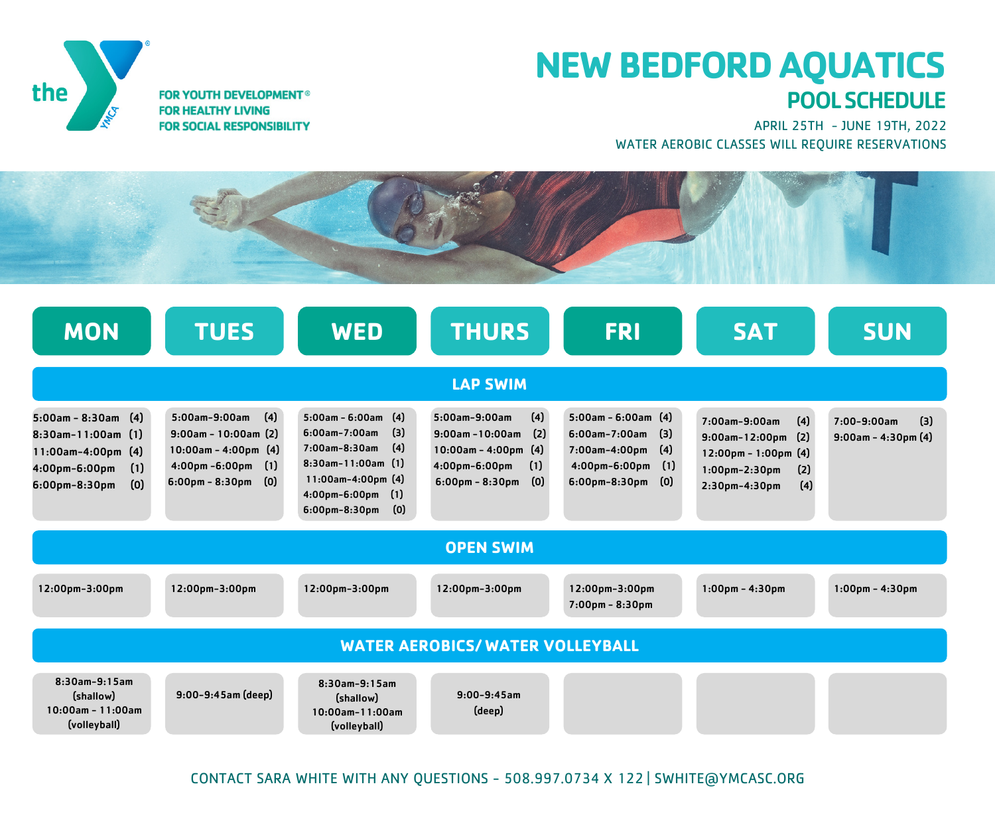

## **NEW BEDFORDAQUATICS** POOLSCHEDULE

APRIL 25TH - JUNE 19TH, 2022 WATER AEROBIC CLASSES WILL REQUIRE RESERVATIONS